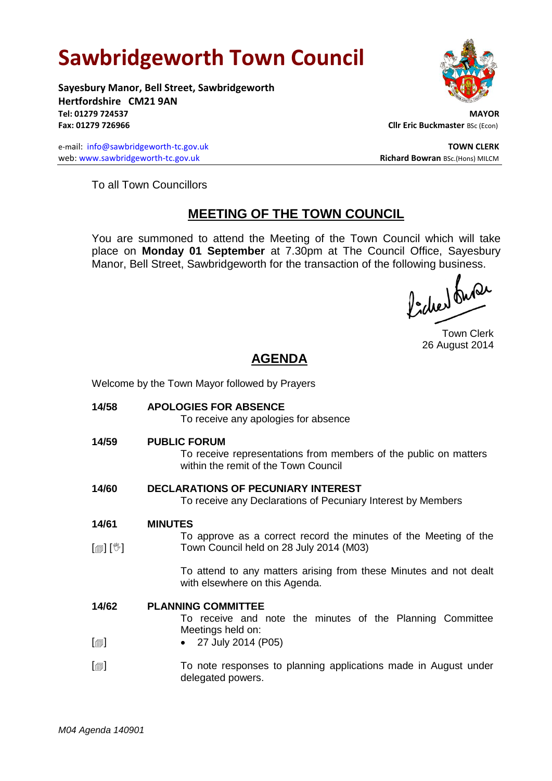# **Sawbridgeworth Town Council**

Welcome by the Town Mayor followed by Prayers

**Sayesbury Manor, Bell Street, Sawbridgeworth Hertfordshire CM21 9AN Tel: 01279 724537 MAYOR Fax: 01279 726966 Cllr Eric Buckmaster BSc (Econ)** 

e-mail: [info@sawbridgeworth-tc.gov.uk](mailto:info@sawbridgeworth-tc.gov.uk) **TOWN CLERK TOWN CLERK** web: www.sawbridgeworth-tc.gov.uk **Richard Bowran** BSc.(Hons) MILCM

To all Town Councillors

# **MEETING OF THE TOWN COUNCIL**

You are summoned to attend the Meeting of the Town Council which will take place on **Monday 01 September** at 7.30pm at The Council Office, Sayesbury Manor, Bell Street, Sawbridgeworth for the transaction of the following business.<br>  $\int_1^1 f(x) dx$ 

Town Clerk 26 August 2014

# **AGENDA**

| 14/58            | <b>APOLOGIES FOR ABSENCE</b><br>To receive any apologies for absence                                                            |
|------------------|---------------------------------------------------------------------------------------------------------------------------------|
| 14/59            | <b>PUBLIC FORUM</b><br>To receive representations from members of the public on matters<br>within the remit of the Town Council |
| 14/60            | <b>DECLARATIONS OF PECUNIARY INTEREST</b><br>To receive any Declarations of Pecuniary Interest by Members                       |
| 14/61            | <b>MINUTES</b>                                                                                                                  |
|                  | To approve as a correct record the minutes of the Meeting of the                                                                |
| [@] [V]          | Town Council held on 28 July 2014 (M03)                                                                                         |
|                  | To attend to any matters arising from these Minutes and not dealt<br>with elsewhere on this Agenda.                             |
| 14/62            | <b>PLANNING COMMITTEE</b><br>To receive and note the minutes of the Planning Committee                                          |
| $[\blacksquare]$ | Meetings held on:<br>27 July 2014 (P05)                                                                                         |
| $[\blacksquare]$ | To note responses to planning applications made in August under<br>delegated powers.                                            |